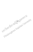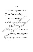## บรรณานุกรม

กระทรวงศึกษาธิการ, สำนักงานคณะกรรมการการประถมศึกษาแห่งชาติ, (2542),

พระราชบัญญัติการศึกษาแห่งชาติ ฉบับกฎหมาย. กรุงเทพมหานคร : ลำนักงานคณะกรรมการการประถมศึกษาแห่งชาติ

สำนักงานปฏิรูปการศึกษา. (2540). การปฏิรูปการศึกษา. ้พิมพ์ครั้งที่ 2. กรุงเทพมหานคร สำนักงานปฏิรูปการศึกษา

ึกล้าหาญ สุดแลน. (2521). พฤติกรรมความเป็นผู้นำของหัวหน้าหน่วยศึกษามิโพศห -จังหวัดในประเทศไทย. วิทยานิพนธ์ปริญญามหาบัณฑิต *ฤล*ูสุสิชิวิโรหา การศึกษา บัณฑิตวิทยาลัย จุฬาลงกรณ์มหาวิทยาลัย

กิติ ตยัคคานนท์ (2531) เทคนิคการสร้างกาวะผู้นำ พิยพิถุรัติที่ 3. เชษฐการพิมพ์.

กิติมา ปรีดีติลก. (2529). ทฤษฎีบริหารองค์กาง กิรุงเทพมหานคร : ธนะการพิมัส เกษมศักดิ์ โยธการี. (2532). คาริสต์มหันธ์ระหว่างพฤติกรรมผู้นำบองศึกษาสิการ จังหวัดตื้นมูรุงย้างาศองค์การในสำนักงานศึกษาธิสาจังหวัดใน

กาศตะจันออกเฉียงเหนือ. วิทยานิพนธ์ปริญิตาฝู่นิวนี้ณฑิต ภาควิชาบริหาร สังวัติกษา บัณฑิตวิทยาลัย มหาวิทยาลัยศิรินทรินทรวิโรฒ มหาสารคาม. คุณะศึกษาการศึกษาไทยในยุคโลกาภิวัตน์. (2542). ความฝันของแผ่นดิน. กรุงเทพมหานคร . โรงพิมพ์ตะวันออก จังตั้ง

จันทนา ชมวรกุล. (2523) อาวิมดิดเห็นของ<mark>ผู้บริหารและครู - อาจารย์เกี่ยวกับ</mark> พฤศิกจิจิมหัวะผู้นำบองผู้บริหารโรงเรียนมูลนิธิกราดาคณะเชนต์คาเบรียล งแช่งิประเทศไทย. วิทยานิพนธ์ปริญญามหาบัณฑิต ภาควิชาบริหารการศึกษา ์บัณฑิตวิทยาลัย จุ**พ**าลงกรณ์มหาวิทยาลัย.

จำนงค์ บุญชู. (2531). องศ์การและการบริหาร. เชียงใหม่ : มหาวิทยาลัยเชียงไหม ุ ถวิล เกื้อกูลวงศ์. (2530). การบริหารการศึกษาสมัยใหม่, กรุงเทพมหานคร : วัฒนาพานิช,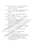ทองอินทร์ วงศ์โสธร. (2523) ภาวะผู้นำ. เอกสารประกอบการสอนชุดวิชาหลักและระบบ การบริหารการศึกษา เล่มที่ 2 มหาวิทยาลัยสุโขทัยธรรมาธิราช. กรุงเทพมหานคร : อมรินทร์การพิมพ์.

ทัศนา แลวงศักดิ์. (2521). การวิเคราะห์พฤติกรรมความเป็นผู้นำของผู้บริหารวิทยาลัย อาชีวศึกษา, ภาควิชาบริหารการศึกษา บัณฑิตวิทยาลัยจุฬาลงกรณ์ มหาวิทยาลัย.

ทิศนา แขมมณี (2542, 5 พฤษภาคม). "การจัดการเรียนการสอนโดยยึดผู้เรียนเป็น ศูนย์กลาง," วารสารวิชาการ. 2 (5): 15 - 30.

เทพนม เมืองแมน, และสวิง สุวรรณ, (2529), พฤติกรรมองค์การ, กรุงเซมี พิมพ์ครั้งที่ 1. ไทยวัฒนาพานิช.

ธนัทพงศ์ ธนพุทธิวิโรจน์ (2532) พฤติกรรมผู้นำของผู้หริง ริยนกับความพึงพอใจ ในการปฏิบัติงานของครูโรงเรียนชี้ระดูมีศึกษา สิ่งกัดสำนักงานการประกง ศึกษาจังหวัดมุกดาหาร เริ่มยานี้พินธ์บริญญามหาบัณฑิต ภาควิชาบริหาร การศึกษาบัณฑิตวิทยาลัย มีหาอิทยาลัยศรีนครินทรวิโรฒ นางเกิด

ธรรมรส โชติกุญชา (2528) "ก่าวะผู้นำกับการพัฒนาบุคลิกภาพ "สอกสิวร์การสอน ชุดวิชส์ผิกอันวมผู้บริหารสถานศึกษาระดัษประกับสิกษา มหาวิทยาลัยสุโขทัย อิร์รมาธิราช. กรุงเทพมหานคร รุ่งคิลปัญหิติพิมพ์.

ลงขลา : เทมการพิมพ์<sub>ต</sub>ุสุง

นพพงษ์ บุญจิตราดุลย์ (2525) หลักการบริหารการศึกษา. พิมพ์ครั้งที่ 2 กรุงเทพมิ่ง นิคร์ : บริษัท เอส. เอ็ม. เอ็ม. จำกัด.

นิพนธ์ กิ่งจริงส์ (2523). หลักเบื้องต้นเกี่ยวกับการบริหาร. กรุงเทพมหานคร : พิฆเณศ. รัติ ใะสมัน. (2527). การศึกษาพฤติกรรมผู้นำของผู้บริหารตามความต้องการของครู ในโรงเรียนมัธยมศึกษาสังกัดกรมสามัญศึกษา เขตการศึกษา 2. วิทยานิพนธ์ปริญญามหาบัณฑิต ภาควิชาบริหารการศึกษา บัณฑิตวิทยาลัย มหาวิทยาลัยศรีนครินทรวิโรฒ สงขลา.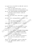บรรจง ชูสกุลชาติ. (2533). บทความทางวิชาการ พ.ศ. 2530 - 2533. กรุงเทพมหานคร : โรงพิมพ์องค์การทหารผ่านอีก..

ประชุม รอดประเสริฐ. (2526). ผู้นำและพฤติกรรมการบริหาร, กรุงเทพมหานคร : ภาควิชาการบริหารคณะศึกษาศาสตร์ มหาวิทยาลัยศรีนครินทรวิโรฒประสานมีตร..

ี ปรีชา สุกใส. (2540). อิทธิพลของเมืองที่มีต่อเยาวชนชนบทในจังหวัดพิษณุโลก. วิทยานิพนธ์ปริญญามหาบัณฑิตภาควิชาสังคมวิทยา บัณฑิตวิทยาลัย สถาบันราชภัฏพิบูลสงคราม.

พจน์ สะเพียรชัย. (2526, กุมภาพันธ์ - มีนาคม). "ทัศนะทางการศึกษา," จุลสารกฎรัติภูษา.  $6(34):3.$ 

พนัส หันนาคินทร์. (2530). การบริหารบุคลากรในโรงเรียน. กรุงเทพัมหงินคร : เนติกุล การพิมพ์.

\_. (2529). หลักการบริหารโรงเรียน. กรุงโทพมหานคร : วัฒนาพานิช. \_\_\_\_. (2524). หลักการบริหารีรั้งเรียน. ถึงงิเทพมีหานคร : ไทยวัฒนาพิกษ์: พลาดิศัย สิทธิธัญกิจ. (2542, 16 สิง โมนาคิม) ภูมิปัญญาไทย. วารสารจัดจุกศร.

พีระ ชัยศิริ. (253%) กับวิศึกัษาพฤติกรรมผู้นำของศึกษาสิการ์ขอ สังกัดกระทรวง เสียง โอการ. วิทยานิพนธ์ปริญญามหานังเห็ดง ทำควิชาบริหารการศึกษา บัณฑิตวิทยาลัย จุฬาลงกรณ์มหิวสัญญัติยะ

ษทูรย์ ศักดิ์แก้ว. (2534). การศึกษาพิตติกรรมผู้นำของ**ผู้บริหารโรงเรียนประถมศึกษ**า ตามความต้องทำรับอิงครูอาจารย์สังกัดสำนักงานการประถมศึกษา จังหวัดติจะชี้ จักยานิพนธ์ปริญญามหาบัณฑิต ภาควิชาบริหารการศึกษา บ็ณูที่ตัวทยาลัย มหาวิทยาลัยศรีนครินทรวิโรฒสงขลา.

ั๊ภั๊กดีวงศ์. (2542, เมษายน). "แนวคิดในการดำเนินการประกันคุณภาพทาง การศึกษาของสำนักงานการประถมศึกษาจังหวัด," วารสารวิชาการ.

 $2(4): 34-39.$ 

 $2(3)$  \$8.

ภิญโญ สาธร. (2517). การบริหารงานบุคคล. กรุงเทพมหานคร :ไทยวัฒนาพานิช. รุ่ง แก้วแดง. (2542). ปฏิวัติการศึกษาไทย. พิมพ์ครั้งที่ 6. กรุงเทพมหานคร : สำนักพิมพ์มติชน.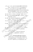ถุกษ์ชัย คุณูปการ. (2539). เอกสารคำสอนทฤษฎีและปฏิบัติการทางจิตวิทยาสังคม. พิษณุโลก : ภาควิชาจิตวิทยาและการแนะแนว :สถาบันราชภัฏพิบูลสงคราม วรเชษฐ์ สุขแสวง. (2529). พฤติกรรมทางการบริหารของผู้บริหารของโรงเรียน ้มัธยมศึกษาดีเด่นในส่วนกูมิภาคที่ได้รับพระราชทานรางวัล สังกัดกรมสามัญ ้ศึกษา ดามการรับรู้ของผู้บริหาร และครู – อาจารย์. วิทยานิพนธ์ปริญญา มหาบัณฑิต ภาควิชาบริหารการศึกษาบัณฑิตวิทยาลัย จุฬาลงกรณ์มหาวิทยาลัย. วิจิตร ธีระกุล. (2518, 19 - 21 สิงหาคม). "พฤติกรรมผู้นำ," วิทยาสาร. 2 (28) : 21. วิจิตร วรุดบางกูร. (2525). ศิลปศาสตร์น่ารู้สำหรับผู้นำ, กรุงเทพมหานคร เมนูจุวิทิยาลัย ศรีนครินทรวิโรณ ประสานมิตร. วิชัย ตันศิริ. (2542). คำอธิบายพระราชบัญญัติการศึกษาแห่งชาติ พิเศ $\geqslant$  2542. ้พิมพ์ครั้งที่ 2. กรุงเทพมหานคร : สำนักพิมพ์วิสุญพัน (สำกัด วิราพร พงศ์อาจารย์. (2542). ความรู้พื้นฐานเกิดงาคิบการซิจัย. พิมพ์ครั้งที่ 1 : สำนักส่งเสริมวิชาการสถจิ์ยันราชทัญพิบูลสงคราม. ศิริ เจริญวัย. (2521). ความสัมพันธุ์วัฐหว่างพฤติกรรมผู้นำกับผลงานขี้อุจดีพิมาลัยครูใน ภาคดูะวันอุอุหนี่ฉียง(หนือ. วิทยานิพนธ์ปริญญามหาบูญิติทิต ) หา๊กวิชาบริหาร การศึกษา มีณฑิตวิทยาลัย มหาวิทยาลัยศรีมอริมที่จำริต ประสานมิตร ติวพร มัณะฟานแท้: (2527). การบริหารงานบุคลล์ จรุงเทพมหานคร : คุณพินอักษร. สุรัญ สิทยงณะ. (2542, 1 - 15 เมษายน). โดร์รหุ้นในอหลักสูตรระดับโรงเรียน." การปฏิรูปการศึกษา สุสัง 12.

์<br>สมพงษ์ เกษมสิน. (252®) ∕ีกิ่งรูบิริหาร...กรุงเทพมหานคร : ไทยวัฒนาพานิช. (2521) ควรบริหารงานบุคคลแผนใหม่. กรุงเทพมหานคร : โฟยิรัมนาพานิช.

มหมัน สิทธิตโร (2531) การศึกษาพฤติกรรมผู้นำของผู้บริหารโรงเรียนดาม ความต้องการของครู อาจารย์โรงเรียนประถมศึกษา สังกัดสำนักงาน การประถมศักษาจังหวัดสงขลา. วิทยานิพนธ์ปริญญามหาบัณฑิต ภาควิชา บริหารการศึกษา บัณฑิตวิทยาลัย มหาวิทยาลัยศรีนครินทรวิโรฒ สงขลา.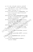ิสมยศ นาวีการ. (2525) - การบริหารธุรกิจ. กรุงเทพมหานคร : บรรณกิจเทรดดิ้ง.

<u>..</u> (2524). พฤติกรรมองค์การ, กรุงเทพมหานคร :ไพศาลศิลป์การพิมพ์.

- ี สมศักดิ์ ดลประสิทธิ์. (2542, มิถุนายน กรกฎาคม). "การจัดทำแผนการสอนที่เน้นผู้เรียน เป็นศูนย์กลาง," ข้าราชการครู. 19 (5) 12 - 16.
- ้สำนักงานคณะกรรมการการศึกษาแห่งชาติ (2541). การเรียนรู้ษุมทรัพย์ในตน. แปลจาก Learning : the treasure within โดย คณะกรรมการการศึกษาแห่งชาติ กรุงเทพมหานคร : โรงพิมพ์ครุสภา.
- สุรกิตตี้ กิตตถิระพงษ์ (2528) พฤติกรรมกาวะผู้นำของผู้บริหารโรงเรียนมัธยมศึกษา เขตการศึกษา 11. วิทยานิพนธ์ปริญญามหาบัณฑิต ภาควิชาเธิล์จุ๊รกจุศึกษา บัณฑิตวิทยาลัย จุฬาลงกรณ์มหาวิทยาลัย.

สุรชาติ สังข์รุ่ง (2520) ความสัมพันธ์ระหว่างพฤติกรรมผู้น้ำกับความพึงพอใจใน การทำงานของครูโรงเรียนประถมศัญ<sup>นา</sup>ี สมิตัองค์การบริหารส่วนจังหวัด และเทศบาล ในเขตกาศกลาง โทยในิพนธ์ปริญญามหาบัณฑิต ทิาศจิสา บริหารการศึกษา บัญชีส์อิทยาลัย สหาวิทยาลัยศรีนครินทรุธิโรต ปีริมสานมิตร.

เสริมศักดิ์ ดิษฐปาน (2554) พฤติกรรมผู้นำของศึกษาธิการอำหัดอุตามความต้องการ ของผู้ใส่มั่งคืนบัญชาในภาคใต้ของประเทศไทย โทยานิพนธ์ปริญญา มีทิ้งบัณฑิต ภาควิชาการบริหารการศึกษ์ง บันเท็ดวิทยาลัย มหาวิทยาลัย ศรีนครินทรวิโรฒ สงขลา.

ำิศาลาภรณ์ (2521) ทั้งตึกรรมของผู้บริหารโรงเรียน กรุงเทพมหานคร : ไทยวัฒนาพวินิชิ

> (2528) พิสติกรรมผู้นำทางการศึกษา. พิมพ์ครั้งที่ 2. กรุงเทพมหานคร : ใหม่วัดนาพานิช

ริศธรรม. (2527). หลัก<mark>มนุษย์สัมพันธ์กับการบริหาร. กรุ</mark>งเทพมหานคร ไทยวัฒนาพานิช.

อ่ารุง จันทวานิช. (2542). ในแนวคิดและนโยบายกระทรวงศึกษาธิการ. กรุงเทพมหานคร : โรงพิมพ์ครุสภา.